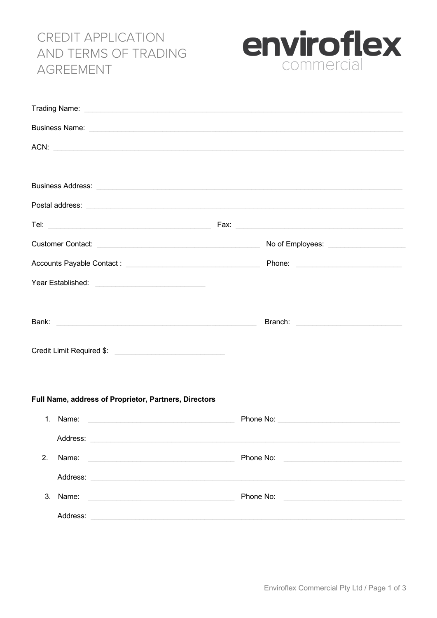# **CREDIT APPLICATION** AND TERMS OF TRADING **AGREEMENT**



| Trading Name: No. 2006. The Contract of the Contract of the Contract of the Contract of the Contract of the Contract of the Contract of the Contract of the Contract of the Contract of the Contract of the Contract of the Co       |                                            |
|--------------------------------------------------------------------------------------------------------------------------------------------------------------------------------------------------------------------------------------|--------------------------------------------|
| Business Name: No. 2006. The Contract of the Contract of the Contract of the Contract of the Contract of the Contract of the Contract of the Contract of the Contract of the Contract of the Contract of the Contract of the C       |                                            |
| ACN:                                                                                                                                                                                                                                 |                                            |
|                                                                                                                                                                                                                                      |                                            |
| Business Address: <u>Communications</u> and Communications and Communications and Communications and Communications and                                                                                                              |                                            |
| Postal address: <u>contract and a series of the series of the series of the series of the series of the series of the series of the series of the series of the series of the series of the series of the series of the series o</u> |                                            |
|                                                                                                                                                                                                                                      |                                            |
| Customer Contact: <u>Customer Contact:</u> Customer Contact: Customer Contact: Customer Contact: Customer Customer Customer Customer Customer Customer Customer Customer Customer Customer Customer Customer Customer Customer Cust  | No of Employees: No of Employees:          |
| Accounts Payable Contact: Network and Accounts Payable Contact:                                                                                                                                                                      | Phone: <u>____________________________</u> |
| Year Established: <u>www.community.com</u>                                                                                                                                                                                           |                                            |
|                                                                                                                                                                                                                                      |                                            |
| Bank: National Communication of the Communication of the Communication of the Communication of the Communication                                                                                                                     |                                            |
|                                                                                                                                                                                                                                      |                                            |
| Credit Limit Required \$:                                                                                                                                                                                                            |                                            |
|                                                                                                                                                                                                                                      |                                            |
|                                                                                                                                                                                                                                      |                                            |

## Full Name, address of Proprietor, Partners, Directors

| $\mathbf{1}$ . | Name:                                                             | Phone No: |
|----------------|-------------------------------------------------------------------|-----------|
|                | Address:                                                          |           |
| 2 <sub>1</sub> | Name:<br><u> 1980 - John Stein, mars and de Barbara (b. 1980)</u> | Phone No: |
|                | Address:                                                          |           |
| $3_{-}$        | Name:                                                             | Phone No: |
|                | Address:                                                          |           |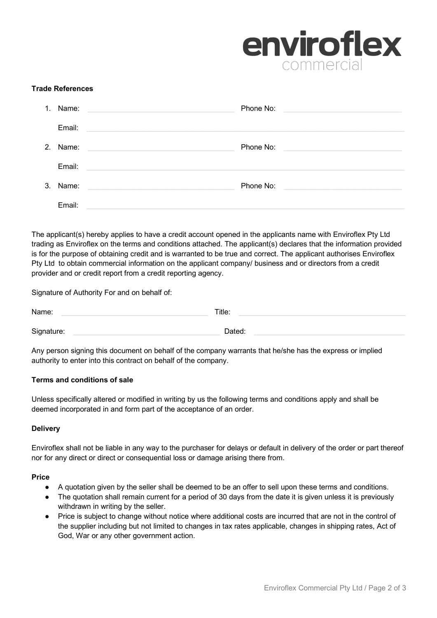

## **Trade References**

| $1_{-}$       | Name:                                                                                                                     | Phone No: |
|---------------|---------------------------------------------------------------------------------------------------------------------------|-----------|
|               | Email:<br><u> 1980 - Jan James James Barnett, amerikansk politik (d. 1980)</u>                                            |           |
| $\mathcal{P}$ | Name:<br>and the control of the control of the control of the control of the control of the control of the control of the | Phone No: |
|               | Email:                                                                                                                    |           |
| 3.            | Name:                                                                                                                     | Phone No: |
|               | Email:                                                                                                                    |           |

The applicant(s) hereby applies to have a credit account opened in the applicants name with Enviroflex Pty Ltd trading as Enviroflex on the terms and conditions attached. The applicant(s) declares that the information provided is for the purpose of obtaining credit and is warranted to be true and correct. The applicant authorises Enviroflex Pty Ltd to obtain commercial information on the applicant company/ business and or directors from a credit provider and or credit report from a credit reporting agency.

Signature of Authority For and on behalf of:

Name: \_\_\_\_\_\_\_\_\_\_\_\_\_\_\_\_\_\_\_\_\_\_\_\_\_\_\_\_\_\_\_\_\_\_\_\_ Title: \_\_\_\_\_\_\_\_\_\_\_\_\_\_\_\_\_\_\_\_\_\_\_\_\_\_\_\_\_\_\_\_\_\_\_\_\_\_\_\_\_  $\mathsf{Signature:}\quad\blacksquare$ 

Any person signing this document on behalf of the company warrants that he/she has the express or implied authority to enter into this contract on behalf of the company.

## **Terms and conditions of sale**

Unless specifically altered or modified in writing by us the following terms and conditions apply and shall be deemed incorporated in and form part of the acceptance of an order.

## **Delivery**

Enviroflex shall not be liable in any way to the purchaser for delays or default in delivery of the order or part thereof nor for any direct or direct or consequential loss or damage arising there from.

## **Price**

- A quotation given by the seller shall be deemed to be an offer to sell upon these terms and conditions.
- The quotation shall remain current for a period of 30 days from the date it is given unless it is previously withdrawn in writing by the seller.
- Price is subject to change without notice where additional costs are incurred that are not in the control of the supplier including but not limited to changes in tax rates applicable, changes in shipping rates, Act of God, War or any other government action.